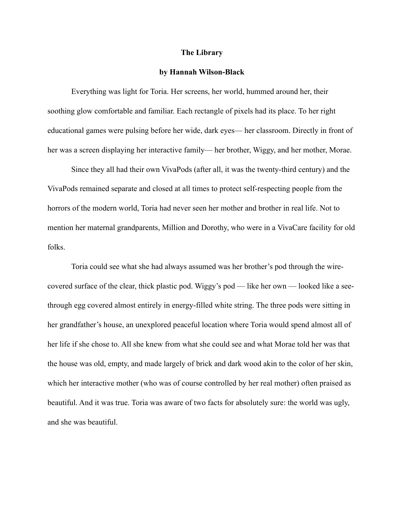## **The Library**

## **by Hannah Wilson-Black**

Everything was light for Toria. Her screens, her world, hummed around her, their soothing glow comfortable and familiar. Each rectangle of pixels had its place. To her right educational games were pulsing before her wide, dark eyes— her classroom. Directly in front of her was a screen displaying her interactive family— her brother, Wiggy, and her mother, Morae.

Since they all had their own VivaPods (after all, it was the twenty-third century) and the VivaPods remained separate and closed at all times to protect self-respecting people from the horrors of the modern world, Toria had never seen her mother and brother in real life. Not to mention her maternal grandparents, Million and Dorothy, who were in a VivaCare facility for old folks.

Toria could see what she had always assumed was her brother's pod through the wirecovered surface of the clear, thick plastic pod. Wiggy's pod — like her own — looked like a seethrough egg covered almost entirely in energy-filled white string. The three pods were sitting in her grandfather's house, an unexplored peaceful location where Toria would spend almost all of her life if she chose to. All she knew from what she could see and what Morae told her was that the house was old, empty, and made largely of brick and dark wood akin to the color of her skin, which her interactive mother (who was of course controlled by her real mother) often praised as beautiful. And it was true. Toria was aware of two facts for absolutely sure: the world was ugly, and she was beautiful.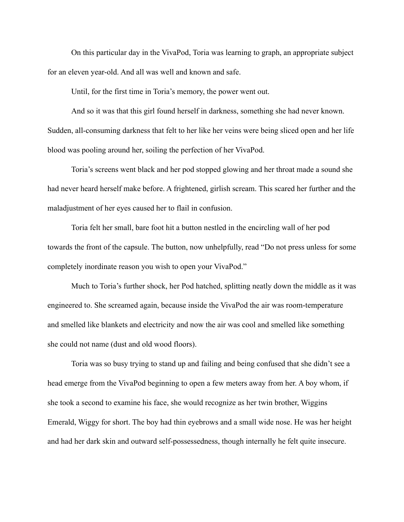On this particular day in the VivaPod, Toria was learning to graph, an appropriate subject for an eleven year-old. And all was well and known and safe.

Until, for the first time in Toria's memory, the power went out.

 And so it was that this girl found herself in darkness, something she had never known. Sudden, all-consuming darkness that felt to her like her veins were being sliced open and her life blood was pooling around her, soiling the perfection of her VivaPod.

 Toria's screens went black and her pod stopped glowing and her throat made a sound she had never heard herself make before. A frightened, girlish scream. This scared her further and the maladjustment of her eyes caused her to flail in confusion.

 Toria felt her small, bare foot hit a button nestled in the encircling wall of her pod towards the front of the capsule. The button, now unhelpfully, read "Do not press unless for some completely inordinate reason you wish to open your VivaPod."

 Much to Toria's further shock, her Pod hatched, splitting neatly down the middle as it was engineered to. She screamed again, because inside the VivaPod the air was room-temperature and smelled like blankets and electricity and now the air was cool and smelled like something she could not name (dust and old wood floors).

 Toria was so busy trying to stand up and failing and being confused that she didn't see a head emerge from the VivaPod beginning to open a few meters away from her. A boy whom, if she took a second to examine his face, she would recognize as her twin brother, Wiggins Emerald, Wiggy for short. The boy had thin eyebrows and a small wide nose. He was her height and had her dark skin and outward self-possessedness, though internally he felt quite insecure.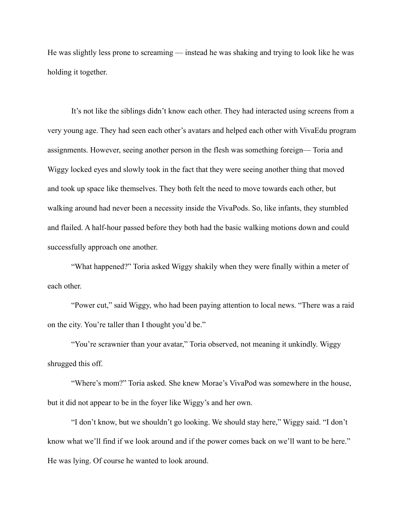He was slightly less prone to screaming — instead he was shaking and trying to look like he was holding it together.

 It's not like the siblings didn't know each other. They had interacted using screens from a very young age. They had seen each other's avatars and helped each other with VivaEdu program assignments. However, seeing another person in the flesh was something foreign— Toria and Wiggy locked eyes and slowly took in the fact that they were seeing another thing that moved and took up space like themselves. They both felt the need to move towards each other, but walking around had never been a necessity inside the VivaPods. So, like infants, they stumbled and flailed. A half-hour passed before they both had the basic walking motions down and could successfully approach one another.

 "What happened?" Toria asked Wiggy shakily when they were finally within a meter of each other.

 "Power cut," said Wiggy, who had been paying attention to local news. "There was a raid on the city. You're taller than I thought you'd be."

 "You're scrawnier than your avatar," Toria observed, not meaning it unkindly. Wiggy shrugged this off.

 "Where's mom?" Toria asked. She knew Morae's VivaPod was somewhere in the house, but it did not appear to be in the foyer like Wiggy's and her own.

 "I don't know, but we shouldn't go looking. We should stay here," Wiggy said. "I don't know what we'll find if we look around and if the power comes back on we'll want to be here." He was lying. Of course he wanted to look around.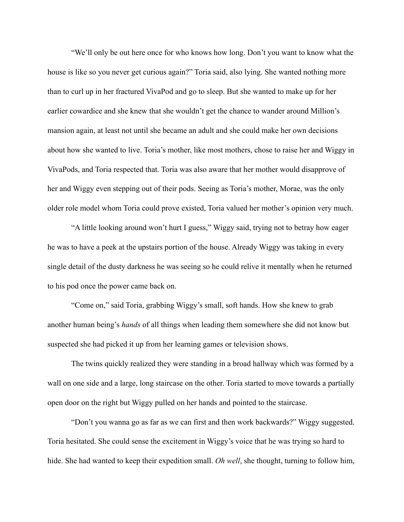"We'll only be out here once for who knows how long. Don't you want to know what the house is like so you never get curious again?" Toria said, also lying. She wanted nothing more than to curl up in her fractured VivaPod and go to sleep. But she wanted to make up for her earlier cowardice and she knew that she wouldn't get the chance to wander around Million's mansion again, at least not until she became an adult and she could make her own decisions about how she wanted to live. Toria's mother, like most mothers, chose to raise her and Wiggy in VivaPods, and Toria respected that. Toria was also aware that her mother would disapprove of her and Wiggy even stepping out of their pods. Seeing as Toria's mother, Morae, was the only older role model whom Toria could prove existed, Toria valued her mother's opinion very much.

 "A little looking around won't hurt I guess," Wiggy said, trying not to betray how eager he was to have a peek at the upstairs portion of the house. Already Wiggy was taking in every single detail of the dusty darkness he was seeing so he could relive it mentally when he returned to his pod once the power came back on.

 "Come on," said Toria, grabbing Wiggy's small, soft hands. How she knew to grab another human being's *hands* of all things when leading them somewhere she did not know but suspected she had picked it up from her learning games or television shows.

 The twins quickly realized they were standing in a broad hallway which was formed by a wall on one side and a large, long staircase on the other. Toria started to move towards a partially open door on the right but Wiggy pulled on her hands and pointed to the staircase.

 "Don't you wanna go as far as we can first and then work backwards?" Wiggy suggested. Toria hesitated. She could sense the excitement in Wiggy's voice that he was trying so hard to hide. She had wanted to keep their expedition small. *Oh well*, she thought, turning to follow him,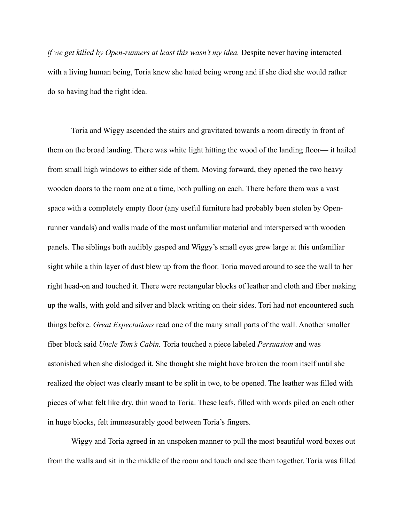*if we get killed by Open-runners at least this wasn't my idea.* Despite never having interacted with a living human being, Toria knew she hated being wrong and if she died she would rather do so having had the right idea.

 Toria and Wiggy ascended the stairs and gravitated towards a room directly in front of them on the broad landing. There was white light hitting the wood of the landing floor— it hailed from small high windows to either side of them. Moving forward, they opened the two heavy wooden doors to the room one at a time, both pulling on each. There before them was a vast space with a completely empty floor (any useful furniture had probably been stolen by Openrunner vandals) and walls made of the most unfamiliar material and interspersed with wooden panels. The siblings both audibly gasped and Wiggy's small eyes grew large at this unfamiliar sight while a thin layer of dust blew up from the floor. Toria moved around to see the wall to her right head-on and touched it. There were rectangular blocks of leather and cloth and fiber making up the walls, with gold and silver and black writing on their sides. Tori had not encountered such things before. *Great Expectations* read one of the many small parts of the wall. Another smaller fiber block said *Uncle Tom's Cabin.* Toria touched a piece labeled *Persuasion* and was astonished when she dislodged it. She thought she might have broken the room itself until she realized the object was clearly meant to be split in two, to be opened. The leather was filled with pieces of what felt like dry, thin wood to Toria. These leafs, filled with words piled on each other in huge blocks, felt immeasurably good between Toria's fingers.

 Wiggy and Toria agreed in an unspoken manner to pull the most beautiful word boxes out from the walls and sit in the middle of the room and touch and see them together. Toria was filled